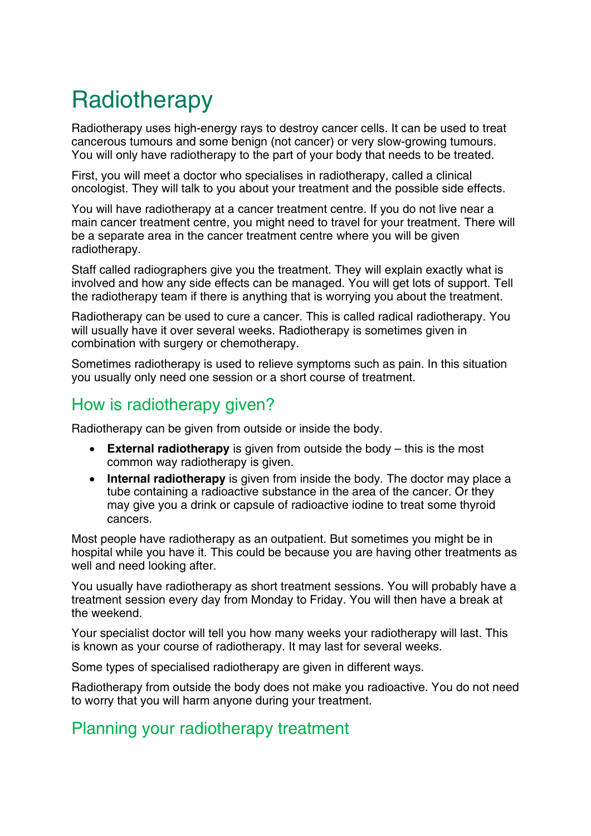# **Radiotherapy**

Radiotherapy uses high-energy rays to destroy cancer cells. It can be used to treat cancerous tumours and some benign (not cancer) or very slow-growing tumours. You will only have radiotherapy to the part of your body that needs to be treated.

First, you will meet a doctor who specialises in radiotherapy, called a clinical oncologist. They will talk to you about your treatment and the possible side effects.

You will have radiotherapy at a cancer treatment centre. If you do not live near a main cancer treatment centre, you might need to travel for your treatment. There will be a separate area in the cancer treatment centre where you will be given radiotherapy.

Staff called radiographers give you the treatment. They will explain exactly what is involved and how any side effects can be managed. You will get lots of support. Tell the radiotherapy team if there is anything that is worrying you about the treatment.

Radiotherapy can be used to cure a cancer. This is called radical radiotherapy. You will usually have it over several weeks. Radiotherapy is sometimes given in combination with surgery or chemotherapy.

Sometimes radiotherapy is used to relieve symptoms such as pain. In this situation you usually only need one session or a short course of treatment.

## How is radiotherapy given?

Radiotherapy can be given from outside or inside the body.

- **External radiotherapy** is given from outside the body this is the most common way radiotherapy is given.
- **Internal radiotherapy** is given from inside the body. The doctor may place a tube containing a radioactive substance in the area of the cancer. Or they may give you a drink or capsule of radioactive iodine to treat some thyroid cancers.

Most people have radiotherapy as an outpatient. But sometimes you might be in hospital while you have it. This could be because you are having other treatments as well and need looking after.

You usually have radiotherapy as short treatment sessions. You will probably have a treatment session every day from Monday to Friday. You will then have a break at the weekend.

Your specialist doctor will tell you how many weeks your radiotherapy will last. This is known as your course of radiotherapy. It may last for several weeks.

Some types of specialised radiotherapy are given in different ways.

Radiotherapy from outside the body does not make you radioactive. You do not need to worry that you will harm anyone during your treatment.

# Planning your radiotherapy treatment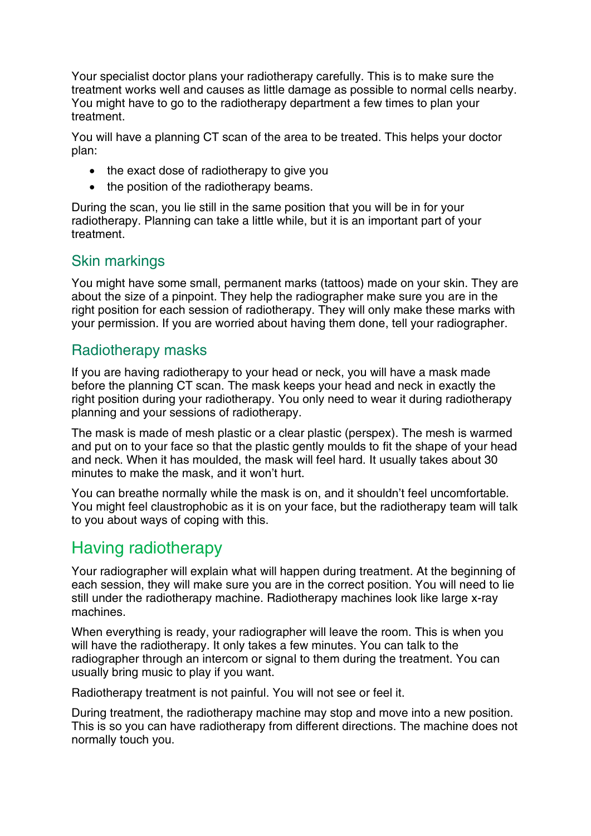Your specialist doctor plans your radiotherapy carefully. This is to make sure the treatment works well and causes as little damage as possible to normal cells nearby. You might have to go to the radiotherapy department a few times to plan your treatment.

You will have a planning CT scan of the area to be treated. This helps your doctor plan:

- the exact dose of radiotherapy to give you
- the position of the radiotherapy beams.

During the scan, you lie still in the same position that you will be in for your radiotherapy. Planning can take a little while, but it is an important part of your treatment.

#### Skin markings

You might have some small, permanent marks (tattoos) made on your skin. They are about the size of a pinpoint. They help the radiographer make sure you are in the right position for each session of radiotherapy. They will only make these marks with your permission. If you are worried about having them done, tell your radiographer.

#### Radiotherapy masks

If you are having radiotherapy to your head or neck, you will have a mask made before the planning CT scan. The mask keeps your head and neck in exactly the right position during your radiotherapy. You only need to wear it during radiotherapy planning and your sessions of radiotherapy.

The mask is made of mesh plastic or a clear plastic (perspex). The mesh is warmed and put on to your face so that the plastic gently moulds to fit the shape of your head and neck. When it has moulded, the mask will feel hard. It usually takes about 30 minutes to make the mask, and it won't hurt.

You can breathe normally while the mask is on, and it shouldn't feel uncomfortable. You might feel claustrophobic as it is on your face, but the radiotherapy team will talk to you about ways of coping with this.

## Having radiotherapy

Your radiographer will explain what will happen during treatment. At the beginning of each session, they will make sure you are in the correct position. You will need to lie still under the radiotherapy machine. Radiotherapy machines look like large x-ray machines.

When everything is ready, your radiographer will leave the room. This is when you will have the radiotherapy. It only takes a few minutes. You can talk to the radiographer through an intercom or signal to them during the treatment. You can usually bring music to play if you want.

Radiotherapy treatment is not painful. You will not see or feel it.

During treatment, the radiotherapy machine may stop and move into a new position. This is so you can have radiotherapy from different directions. The machine does not normally touch you.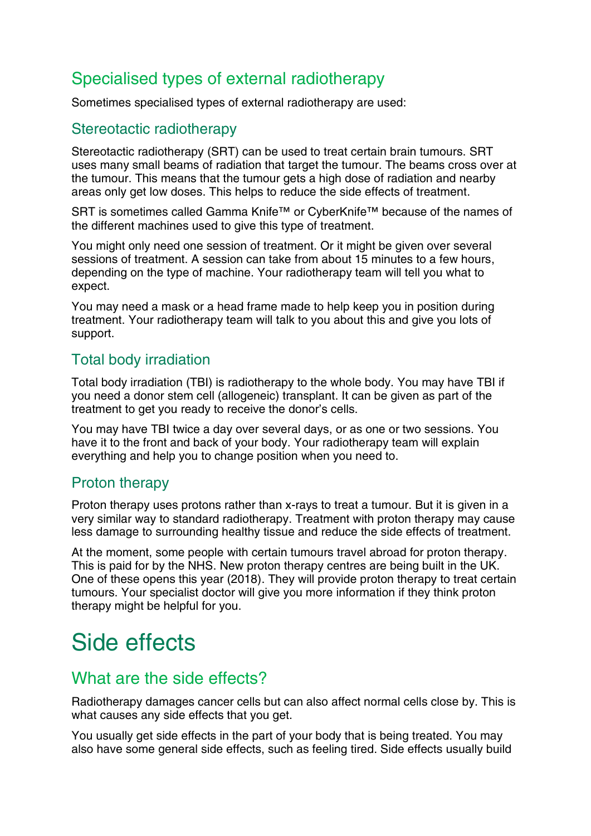# Specialised types of external radiotherapy

Sometimes specialised types of external radiotherapy are used:

#### Stereotactic radiotherapy

Stereotactic radiotherapy (SRT) can be used to treat certain brain tumours. SRT uses many small beams of radiation that target the tumour. The beams cross over at the tumour. This means that the tumour gets a high dose of radiation and nearby areas only get low doses. This helps to reduce the side effects of treatment.

SRT is sometimes called Gamma Knife™ or CyberKnife™ because of the names of the different machines used to give this type of treatment.

You might only need one session of treatment. Or it might be given over several sessions of treatment. A session can take from about 15 minutes to a few hours, depending on the type of machine. Your radiotherapy team will tell you what to expect.

You may need a mask or a head frame made to help keep you in position during treatment. Your radiotherapy team will talk to you about this and give you lots of support.

#### Total body irradiation

Total body irradiation (TBI) is radiotherapy to the whole body. You may have TBI if you need a donor stem cell (allogeneic) transplant. It can be given as part of the treatment to get you ready to receive the donor's cells.

You may have TBI twice a day over several days, or as one or two sessions. You have it to the front and back of your body. Your radiotherapy team will explain everything and help you to change position when you need to.

#### Proton therapy

Proton therapy uses protons rather than x-rays to treat a tumour. But it is given in a very similar way to standard radiotherapy. Treatment with proton therapy may cause less damage to surrounding healthy tissue and reduce the side effects of treatment.

At the moment, some people with certain tumours travel abroad for proton therapy. This is paid for by the NHS. New proton therapy centres are being built in the UK. One of these opens this year (2018). They will provide proton therapy to treat certain tumours. Your specialist doctor will give you more information if they think proton therapy might be helpful for you.

# Side effects

## What are the side effects?

Radiotherapy damages cancer cells but can also affect normal cells close by. This is what causes any side effects that you get.

You usually get side effects in the part of your body that is being treated. You may also have some general side effects, such as feeling tired. Side effects usually build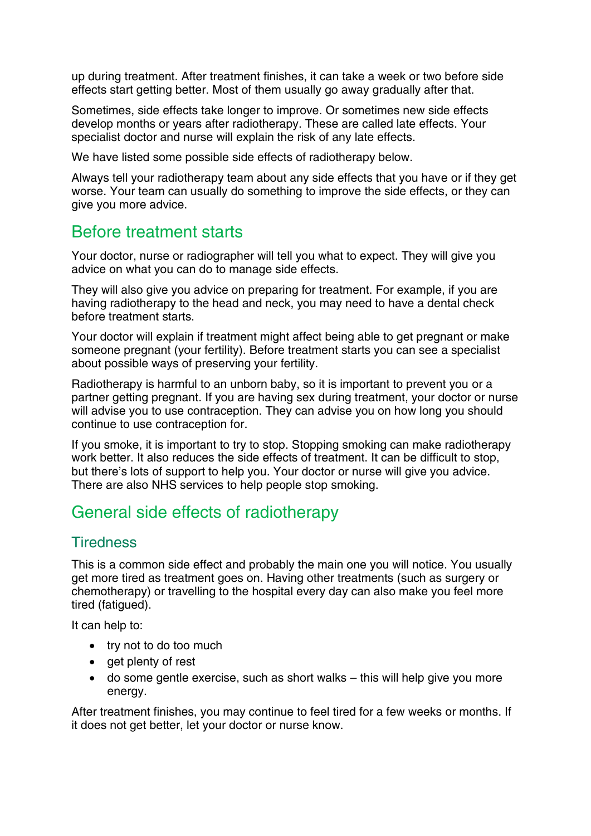up during treatment. After treatment finishes, it can take a week or two before side effects start getting better. Most of them usually go away gradually after that.

Sometimes, side effects take longer to improve. Or sometimes new side effects develop months or years after radiotherapy. These are called late effects. Your specialist doctor and nurse will explain the risk of any late effects.

We have listed some possible side effects of radiotherapy below.

Always tell your radiotherapy team about any side effects that you have or if they get worse. Your team can usually do something to improve the side effects, or they can give you more advice.

## Before treatment starts

Your doctor, nurse or radiographer will tell you what to expect. They will give you advice on what you can do to manage side effects.

They will also give you advice on preparing for treatment. For example, if you are having radiotherapy to the head and neck, you may need to have a dental check before treatment starts.

Your doctor will explain if treatment might affect being able to get pregnant or make someone pregnant (your fertility). Before treatment starts you can see a specialist about possible ways of preserving your fertility.

Radiotherapy is harmful to an unborn baby, so it is important to prevent you or a partner getting pregnant. If you are having sex during treatment, your doctor or nurse will advise you to use contraception. They can advise you on how long you should continue to use contraception for.

If you smoke, it is important to try to stop. Stopping smoking can make radiotherapy work better. It also reduces the side effects of treatment. It can be difficult to stop, but there's lots of support to help you. Your doctor or nurse will give you advice. There are also NHS services to help people stop smoking.

# General side effects of radiotherapy

#### **Tiredness**

This is a common side effect and probably the main one you will notice. You usually get more tired as treatment goes on. Having other treatments (such as surgery or chemotherapy) or travelling to the hospital every day can also make you feel more tired (fatigued).

It can help to:

- try not to do too much
- get plenty of rest
- do some gentle exercise, such as short walks this will help give you more energy.

After treatment finishes, you may continue to feel tired for a few weeks or months. If it does not get better, let your doctor or nurse know.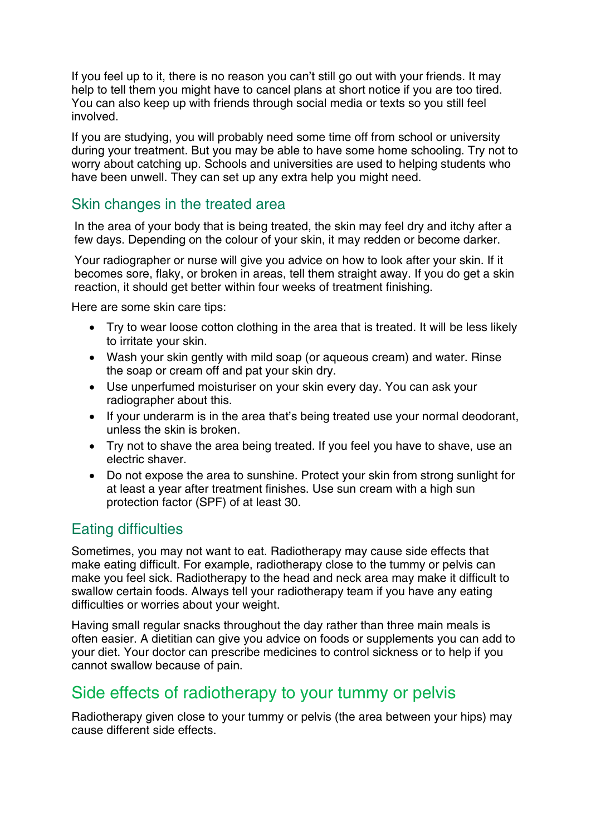If you feel up to it, there is no reason you can't still go out with your friends. It may help to tell them you might have to cancel plans at short notice if you are too tired. You can also keep up with friends through social media or texts so you still feel involved.

If you are studying, you will probably need some time off from school or university during your treatment. But you may be able to have some home schooling. Try not to worry about catching up. Schools and universities are used to helping students who have been unwell. They can set up any extra help you might need.

#### Skin changes in the treated area

In the area of your body that is being treated, the skin may feel dry and itchy after a few days. Depending on the colour of your skin, it may redden or become darker.

Your radiographer or nurse will give you advice on how to look after your skin. If it becomes sore, flaky, or broken in areas, tell them straight away. If you do get a skin reaction, it should get better within four weeks of treatment finishing.

Here are some skin care tips:

- Try to wear loose cotton clothing in the area that is treated. It will be less likely to irritate your skin.
- Wash your skin gently with mild soap (or aqueous cream) and water. Rinse the soap or cream off and pat your skin dry.
- Use unperfumed moisturiser on your skin every day. You can ask your radiographer about this.
- If your underarm is in the area that's being treated use your normal deodorant, unless the skin is broken.
- Try not to shave the area being treated. If you feel you have to shave, use an electric shaver.
- Do not expose the area to sunshine. Protect your skin from strong sunlight for at least a year after treatment finishes. Use sun cream with a high sun protection factor (SPF) of at least 30.

#### Eating difficulties

Sometimes, you may not want to eat. Radiotherapy may cause side effects that make eating difficult. For example, radiotherapy close to the tummy or pelvis can make you feel sick. Radiotherapy to the head and neck area may make it difficult to swallow certain foods. Always tell your radiotherapy team if you have any eating difficulties or worries about your weight.

Having small regular snacks throughout the day rather than three main meals is often easier. A dietitian can give you advice on foods or supplements you can add to your diet. Your doctor can prescribe medicines to control sickness or to help if you cannot swallow because of pain.

## Side effects of radiotherapy to your tummy or pelvis

Radiotherapy given close to your tummy or pelvis (the area between your hips) may cause different side effects.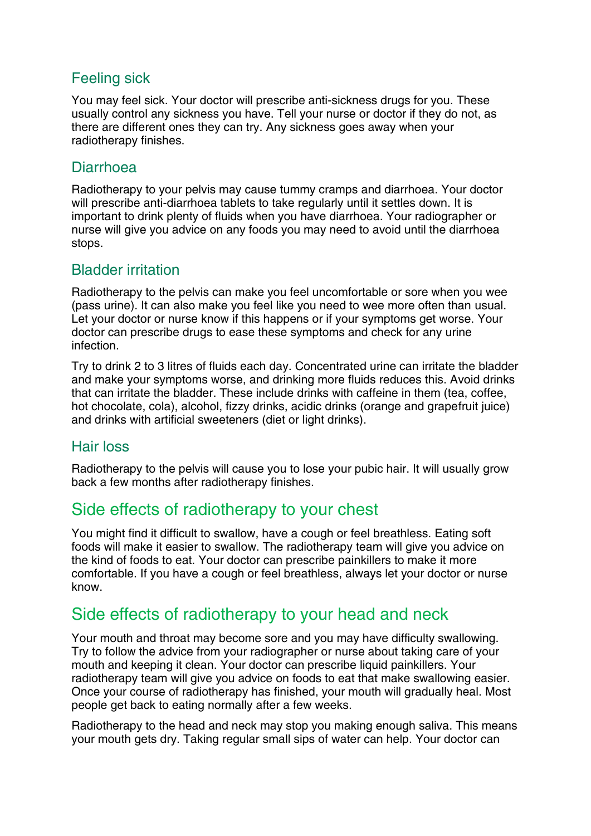### Feeling sick

You may feel sick. Your doctor will prescribe anti-sickness drugs for you. These usually control any sickness you have. Tell your nurse or doctor if they do not, as there are different ones they can try. Any sickness goes away when your radiotherapy finishes.

#### Diarrhoea

Radiotherapy to your pelvis may cause tummy cramps and diarrhoea. Your doctor will prescribe anti-diarrhoea tablets to take regularly until it settles down. It is important to drink plenty of fluids when you have diarrhoea. Your radiographer or nurse will give you advice on any foods you may need to avoid until the diarrhoea stops.

#### Bladder irritation

Radiotherapy to the pelvis can make you feel uncomfortable or sore when you wee (pass urine). It can also make you feel like you need to wee more often than usual. Let your doctor or nurse know if this happens or if your symptoms get worse. Your doctor can prescribe drugs to ease these symptoms and check for any urine infection.

Try to drink 2 to 3 litres of fluids each day. Concentrated urine can irritate the bladder and make your symptoms worse, and drinking more fluids reduces this. Avoid drinks that can irritate the bladder. These include drinks with caffeine in them (tea, coffee, hot chocolate, cola), alcohol, fizzy drinks, acidic drinks (orange and grapefruit juice) and drinks with artificial sweeteners (diet or light drinks).

#### Hair loss

Radiotherapy to the pelvis will cause you to lose your pubic hair. It will usually grow back a few months after radiotherapy finishes.

## Side effects of radiotherapy to your chest

You might find it difficult to swallow, have a cough or feel breathless. Eating soft foods will make it easier to swallow. The radiotherapy team will give you advice on the kind of foods to eat. Your doctor can prescribe painkillers to make it more comfortable. If you have a cough or feel breathless, always let your doctor or nurse know.

# Side effects of radiotherapy to your head and neck

Your mouth and throat may become sore and you may have difficulty swallowing. Try to follow the advice from your radiographer or nurse about taking care of your mouth and keeping it clean. Your doctor can prescribe liquid painkillers. Your radiotherapy team will give you advice on foods to eat that make swallowing easier. Once your course of radiotherapy has finished, your mouth will gradually heal. Most people get back to eating normally after a few weeks.

Radiotherapy to the head and neck may stop you making enough saliva. This means your mouth gets dry. Taking regular small sips of water can help. Your doctor can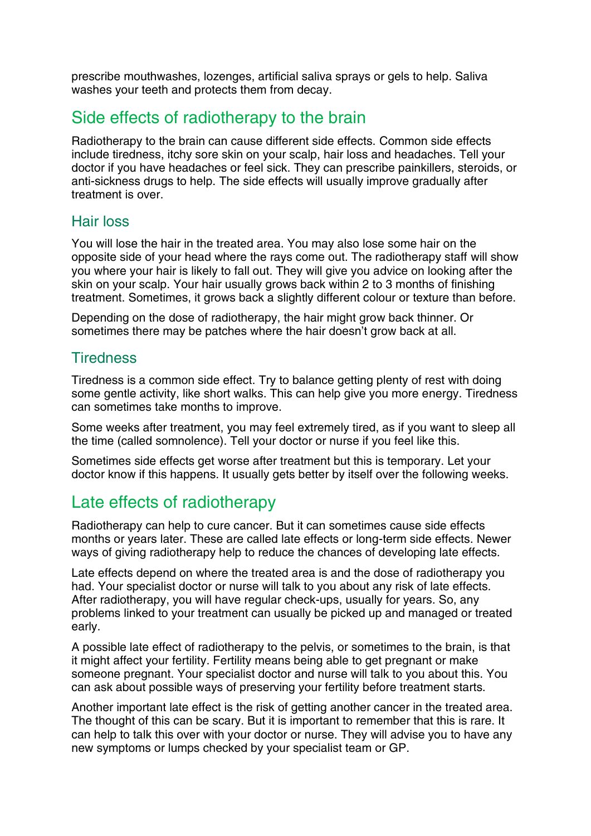prescribe mouthwashes, lozenges, artificial saliva sprays or gels to help. Saliva washes your teeth and protects them from decay.

## Side effects of radiotherapy to the brain

Radiotherapy to the brain can cause different side effects. Common side effects include tiredness, itchy sore skin on your scalp, hair loss and headaches. Tell your doctor if you have headaches or feel sick. They can prescribe painkillers, steroids, or anti-sickness drugs to help. The side effects will usually improve gradually after treatment is over.

#### Hair loss

You will lose the hair in the treated area. You may also lose some hair on the opposite side of your head where the rays come out. The radiotherapy staff will show you where your hair is likely to fall out. They will give you advice on looking after the skin on your scalp. Your hair usually grows back within 2 to 3 months of finishing treatment. Sometimes, it grows back a slightly different colour or texture than before.

Depending on the dose of radiotherapy, the hair might grow back thinner. Or sometimes there may be patches where the hair doesn't grow back at all.

#### **Tiredness**

Tiredness is a common side effect. Try to balance getting plenty of rest with doing some gentle activity, like short walks. This can help give you more energy. Tiredness can sometimes take months to improve.

Some weeks after treatment, you may feel extremely tired, as if you want to sleep all the time (called somnolence). Tell your doctor or nurse if you feel like this.

Sometimes side effects get worse after treatment but this is temporary. Let your doctor know if this happens. It usually gets better by itself over the following weeks.

## Late effects of radiotherapy

Radiotherapy can help to cure cancer. But it can sometimes cause side effects months or years later. These are called late effects or long-term side effects. Newer ways of giving radiotherapy help to reduce the chances of developing late effects.

Late effects depend on where the treated area is and the dose of radiotherapy you had. Your specialist doctor or nurse will talk to you about any risk of late effects. After radiotherapy, you will have regular check-ups, usually for years. So, any problems linked to your treatment can usually be picked up and managed or treated early.

A possible late effect of radiotherapy to the pelvis, or sometimes to the brain, is that it might affect your fertility. Fertility means being able to get pregnant or make someone pregnant. Your specialist doctor and nurse will talk to you about this. You can ask about possible ways of preserving your fertility before treatment starts.

Another important late effect is the risk of getting another cancer in the treated area. The thought of this can be scary. But it is important to remember that this is rare. It can help to talk this over with your doctor or nurse. They will advise you to have any new symptoms or lumps checked by your specialist team or GP.